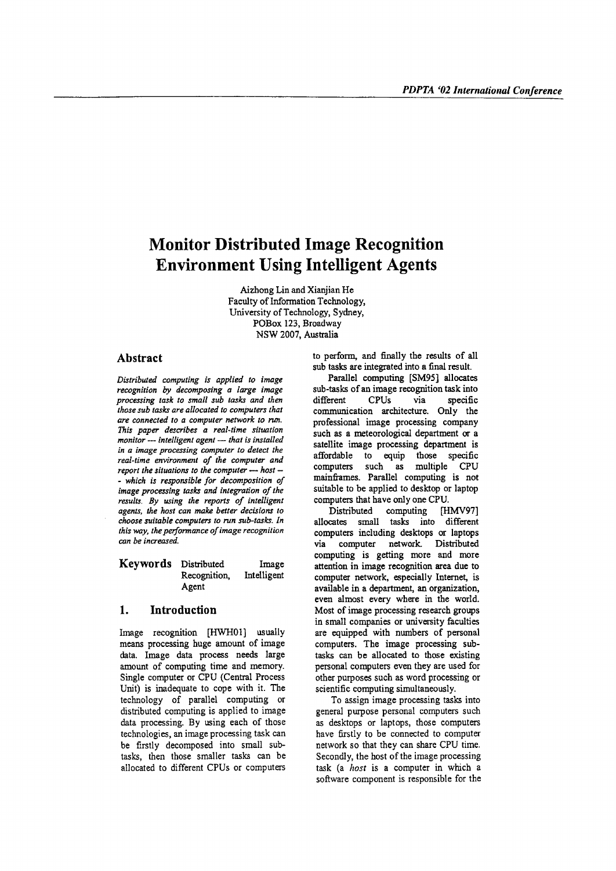# **Monitor Distributed Image Recognition Environment Using Intelligent Agents**

Aizhong Lin and Xianjian He Faculty of Information Technology, University of Technology, Sydney, POBox 123, Broadway NSW 2007, Australia

#### Abstract

*Distributed computing is applied to image recognition by decomposing a large image processing task to small sub tasks and then those sub tasks are allocated to computers that are connected to a computer network to run. This paper describes a real-time situation monitor - intelligent agent - that is installed in a image processing computer to detect the real-time environment of the computer and report the situations to the computer - host - - which is responsible for decomposition of image processing tasks and integration of the results. By using the reports of intelligent agents. the host can make better decisions* 10 *choose suitable computers to run sub-tasks. In this way, the performance of image recognition can be increased.*

Keywords Distributed Recognition, Agent Image Intelligent

# 1. Introduction

Image recognition [HWH01] usually means processing huge amount of image data. Image data process needs large amount of computing time and memory. Single computer or CPU (Central Process Unit) is inadequate to cope with it. The teclmology of parallel computing or distributed computing is applied to image data processing. By using each of those technologies, an image processing task can be firstly decomposed into small subtasks, then those smaller tasks can be allocated to different CPUs or computers to perform, and finally the results of all sub tasks are integrated into a final result.

Parallel computing [SM95] allocates sub-tasks of an image recognition task into different CPUs via specific communication architecture. Only the professional image processing company such as a meteorological department or a satellite image processing department is affordable to equip those specific computers such as multiple CPU mainframes. Parallel computing is not suitable to be applied to desktop or laptop computers that have only one CPU.

Distributed computing [HMV97] allocates small tasks into different computers including desktops or laptops via computer network. Distributed computing is getting more and more attention in image recognition area due to computer network, especially Internet, is available in a department, an organization, even almost every where in the world. Most of image processing research groups in small companies or university faculties are equipped with numbers of personal computers. The image processing subtasks can be allocated to those existing personal computers even they are used for other purposes such as word processing or scientific computing simultaneously.

To assign image processing tasks into general purpose personal computers such as desktops or laptops, those computers have firstly to be connected to computer network so that they can share CPU time. Secondly, the host of the image processing task (a *host* is a computer in which a software component is responsible for the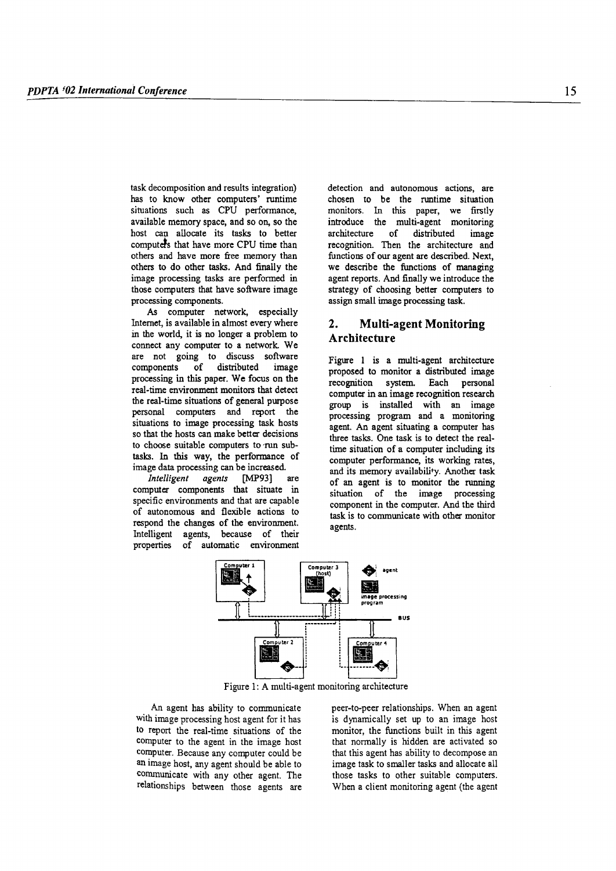task decomposition and results integration) has to know other computers' runtime situations such as CPU performance, available memory space, and so on, so the host can allocate its tasks to better computers that have more CPU time than others and have more free memory than others to do other tasks. And finally the image processing tasks are performed in those computers that have software image processing components.

As computer network, especially Internet, is available in almost every where in the world, it is no longer a problem to connect any computer to a network. We are not going to discuss software components of distributed image processing in this paper. We focus on the real-time environment monitors that detect the real-time situations of general purpose personal computers and report the situations to image processing task hosts so that the hosts can make better decisions to choose suitable computers to 'run subtasks. In this way, the performance of image data processing can be increased.

*Intelligent agents* [MP93] are computer components that situate in specific environments and that are capable of autonomous and flexible actions to respond the changes of the environment. Intelligent agents, because of their properties of automatic environment detection and autonomous actions, are chosen to be the runtime situation monitors. In this paper, we firstly introduce the multi-agent monitoring architecture of distributed image recognition. Then the architecture and functions of our agent are described. Next, we describe the functions of managing agent reports. And finally we introduce the strategy of choosing better computers to assign small image processing task.

# 2. Multi-agent Monitoring Architecture

Figure I is a multi-agent architecture proposed to monitor a distributed image recognition system. Each personal computer in an image recognition research group is installed with an image processing program and a monitoring agent. An agent situating a computer has three tasks. One task is to detect the realtime situation of a computer including its computer performance, its working rates, and its memory availability. Another task of an agent is to monitor the running situation of the image processing component in the computer. And the third task is to communicate with other monitor agents.



Figure 1: A multi-agent monitoring architecture

An agent has ability to communicate with image processing host agent for it has to report the real-time situations of the computer to the agent in the image host computer. Because any computer could be an image host, any agent should be able to communicate with any other agent. The relationships between those agents are peer-to-peer relationships. When an agent is dynamically set up to an image host monitor, the functions built in this agent that normally is hidden are activated so that this agent has ability to decompose an image task to smaller tasks and allocate all those tasks to other suitable computers. When a client monitoring agent (the agent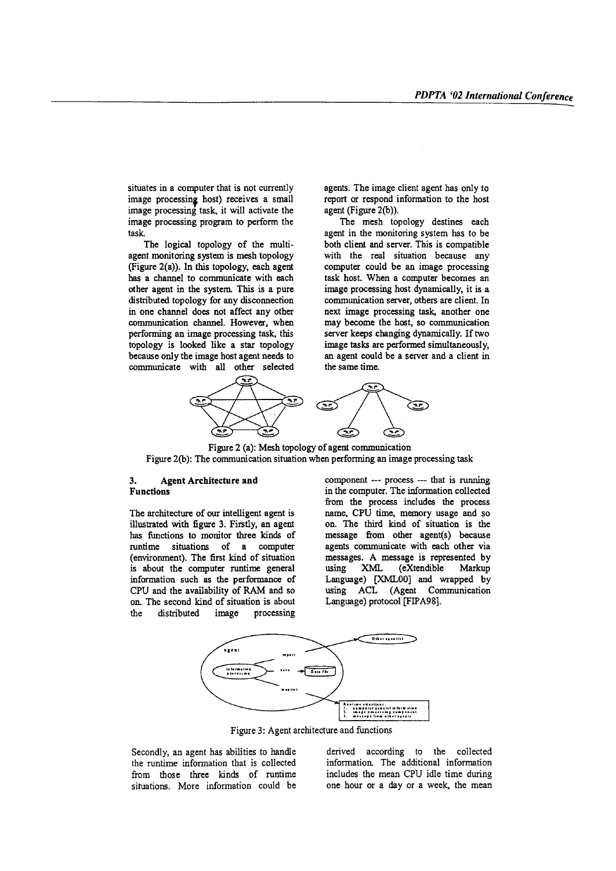situates in a computer that is not currently image processing host) receives a small image processing task, it will activate the image processing program to perform the task.

The logical topology of the multiagent monitoring system is mesh topology (Figure 2(a)). In this topology, each agent bas a channel to communicate with each other agent in the system. This is a pure distributed topology for any disconnection in one channel does not affect any other communication channel. However, when performing an image processing task, this topology is looked like a star topology because only the image host agent needs to communicate with all other selected agents. The image client agent has only to report or respond information to the host agent (Figure 2(b)).

The mesh topology destines each agent in the monitoring system has to be both client and server. This is compatible with the real situation because any computer could be an image processing task host. When a computer becomes an image processing host dynamically, it is a communication server, others are client. In next image processing task, another one may become the hast, so communication server keeps changing dynamically. If two image tasks are performed simultaneously, an agent could be a server and a client in the same time.



Figure 2 (a): Mesh topology of agent communication Figure 2(b): The communication situation when performing an image processing task

### 3. Agent Architecture and Functions

The architecture of our intelligent agent is illustrated with figure 3. Firstly, an agent bas functions to monitor three kinds of runtime situations of a computer (environment). The first kind of situation is about the computer runtime general information such as the performance of CPU and the availability of RAM and so on. The second kind of situation is about the distributed image processing

component --- process --- that is running in the computer. The information collected from the process includes the process name, CPU time, memory usage and so on. The third kind of situation is the message from other agent(s) because agents communicate with each other via messages. A message is represented by using XML (eXtendible Markup Language) [XMLOO] and wrapped by using ACL (Agent Communication Language) protocol [FIPA98].



Figure 3: Agent architecture and functions

Secondly, an agent has abilities to handle the runtime information that is collected from those three kinds of runtime situations. More information could be derived according to the collected information. The additional information includes the mean CPU idle time during one hour or a day or a week, the mean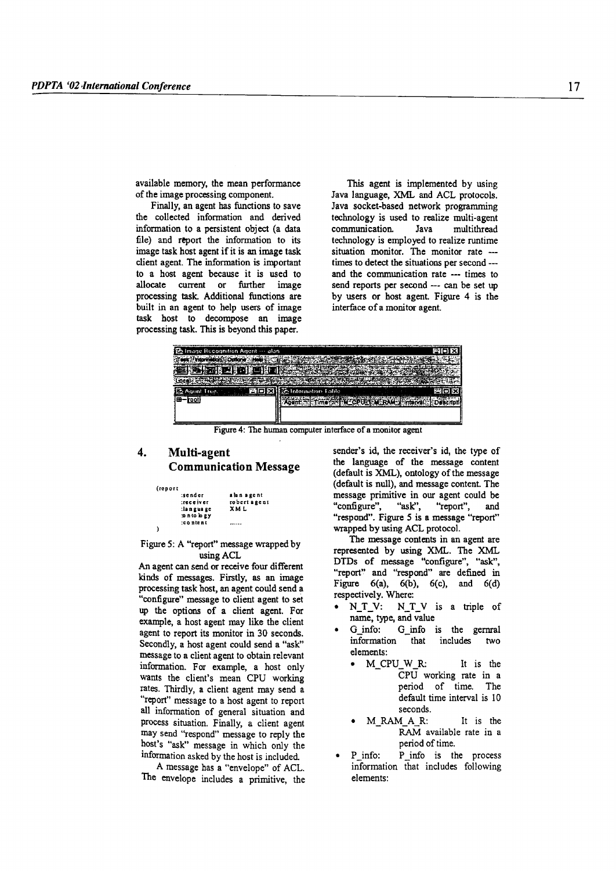available memory, the mean performance of the image processing component.

Finally, an agent has functions to save the collected information and derived information to a persistent object (a data file) and report the information to its image task host agent if it is an image task client agent. The information is important to a host agent because it is used to allocate current or further image processing task Additional functions are built in an agent to help users of image task host to decompose an image processing task. This is beyond this paper.

This agent is implemented by using Java language, XML and ACL protocols. Java socket-based network programming technology is used to realize multi-agent communication. Java multithread technology is employed to realize runtime situation monitor. The monitor rate --times to detect the situations per second - and the communication rate ••- times to send reports per second --- can be set up by users or host agent. Figure 4 is the interface of a momtor agent.

| 色 Image Recognition Agent … alan        |                     | <b>AIO</b> |
|-----------------------------------------|---------------------|------------|
| katana Liala s<br><b>Intermetion</b> SQ |                     |            |
|                                         |                     |            |
|                                         |                     |            |
| Agent Tree.                             | 語 Information Lable |            |
| roo                                     |                     |            |
|                                         |                     |            |

Figure 4: The human computer interface of a monitor agent

# 4. Multi-agent Communication Message

| (report |               |              |
|---------|---------------|--------------|
|         | :sender       | alan agent   |
|         | :rece iver    | robert agent |
|         | :language     | XML          |
|         | to is a given |              |
|         | :content      |              |
|         |               |              |

#### Figure 5: A "report" message wrapped by usingACL

An agent can send or receive four different kinds of messages. Firstly, as an image processing task host, an agent could send a "configure" message to client agent to set up the options of a client agent. For example, a host agent may like the client agent to report its monitor in 30 seconds. Secondly, a host agent could send a "ask" message to a client agent to obtain relevant information, For example, a host only wants the client's mean CPU working rates. Thirdly, a client agent may send a "report" message to a host agent to report all information of general situation and process situation. Finally, a client agent may send "respond" message to reply the host's "ask" message in which only the information asked by the host is included.

A message has a "envelope" of ACL. The envelope includes a primitive, the sender's id, the receiver's id, the type of the language of the message content (default is XML), ontology of the message (default is null), and message content. The message primitive in our agent could be "configure", "ask", "report", and "respond". Figure 5 is a message "report" wrapped by using ACL protocol.

The message contents in an agent are represented by using XML. The XML DTDs of message "configure", "ask", "report" and "respond" are defined in Figure  $6(a)$ ,  $6(b)$ ,  $6(c)$ , and  $6(d)$ respectively. Where:

- N\_T\_V: N\_T\_V is a triple of name, type, and value
- G info: G info is the gernral information that includes two elements:
	- M\_CPU\_ W\_R: It is the CPU working rate in a period of time. The default time interval is 10 seconds.
	- M\_RAM\_A\_R: It is the RAM available rate in a period of time.
- P\_info: P\_info is the process information that includes following elements: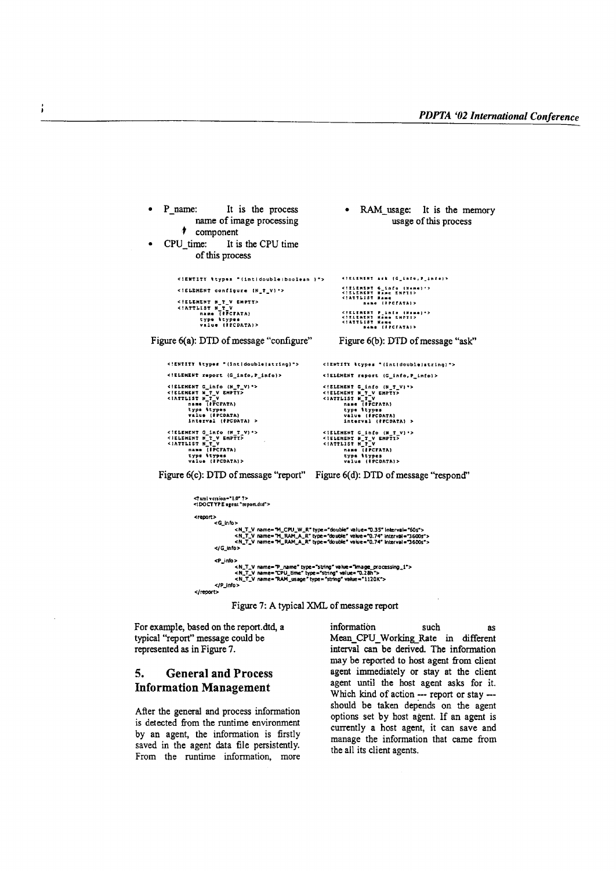```
RAM usage: It is the memory
      P name:
                                          It is the process
                         name of image processing
                                                                                                                                        usage of this process
                 t component
      CPU time:
                                          It is the CPU time
                         of this process
              <!ENTITY ttypes "(intidouble)boolean }">
                                                                                                           <!ELEMSNT ask (G_info, P_info)>
                                                                                                            <! ELEMENT configure (N_T_V) *>
              <!ELEMENT N_T_V EMPTY><br><!ATTLIST N_T_V<br><!ATTLIST N_T_V<br>name (FPCFATA)<br>type types<br>value (FPCDATA)>
                                                                                                           <!ELEMENT P_info (Hame)*><br><!ELEMENT Kame SHPTY><br><!ATTLIST Kame<br>name (FFCFATA)>
Figure 6(a): DTD of message "configure"
                                                                                                          Figure 6(b): DTD of message "ask"
         <!ENTITY \types "(int|double|string)">
                                                                                                <!ENTITY \types "{int|double|string}">
         <!ELEMENT report (G_info, P_info)>
                                                                                                <!ELEMENT report (G_info, P_info)>
         <IELEMENT G_info (N_T_V) *><br>
<IELEMENT N_T_V<br>
<IELEMENT N_T_V<br>
<IELEMENT N_T_V<br>
type trype<br>
type type<br>
type type<br>
yalue (PCDATA)<br>
Interval (PCDATA)<br>
interval (PCDATA)
                                                                                                <!ELEMENT G_info (N_T_V) *><br><!ELEMENT M_T_V EMPTY><br><!RITLIST N_T_V<br>CIATTLIST N_T_V<br>mame (FPCCATA)<br>type ttypes<br>walve (FCDATA)<br>interval (FFCDATA) >
         <!ELEMENT G_info (N_T_V) *><br><!ELEMENT N_T_V<br>EMITIST N_T_V<br>CANTIST N_T_V<br>name (IPCFATA)<br>type ttypes<br>value (FPCDATA)>
                                                                                                <iELEMENT G_info (M_T_V)'><br><!ELEMENT M_T_V EMPTY><br><!ELEMENT M_T_V<br>
name (PPCFATA)<br>type types<br>
value (PPCDATA)><br>value (PPCDATA)>
    Figure 6(c): DTD of message "report" Figure 6(d): DTD of message "respond"
                        <? xml version="1.0" ?><br><! DOCT YPE agent "report.dtd">
                        <report><br><G_info><br>>
                                               )<br><N_T_V_name="M_CFU_W_R" type="double" value="0.35" interval="60s"><br><N_T_V_name="M_RAM_A_R" type="double" value="0.74" interval="3600s"><br><N_T_V_name="M_RAM_A_R" type="double" value="0.74" interval="3600s">
                                   \leqi\leq info\geq<P_info>
                                               ><br><N_T_V name="P_name" type="string" value="Image_processing_1"><br><N_T_V name="CPU_time" type="string" value="0.28h"><br><N_T_V name="RAM_usage" type="string" value="1120K">
                                    </P_info>cleannets
```
Figure 7: A typical XML of message report

For example, based on the report.dtd, a typical "report" message could be represented as in Figure 7.

#### 5. **General and Process Information Management**

After the general and process information is detected from the runtime environment by an agent, the information is firstly saved in the agent data file persistently. From the runtime information, more information such **as** Mean\_CPU\_Working Rate in different interval can be derived. The information may be reported to host agent from client agent immediately or stay at the client agent until the host agent asks for it. Which kind of action --- report or stay --should be taken depends on the agent options set by host agent. If an agent is currently a host agent, it can save and manage the information that came from the all its client agents.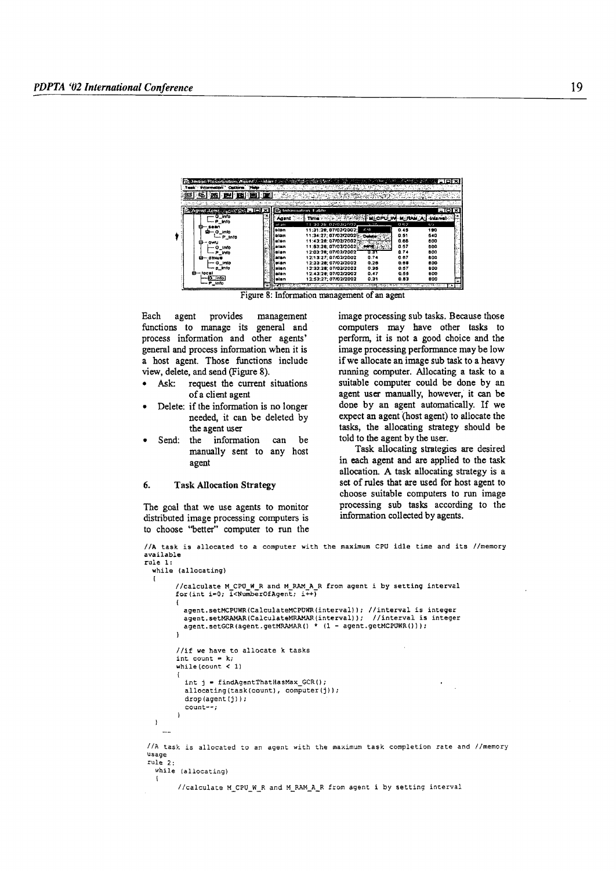|                   | <b>Intermation Options Help</b> |                         |                |      |
|-------------------|---------------------------------|-------------------------|----------------|------|
|                   |                                 |                         |                |      |
|                   |                                 | <b>Collection</b> Fable |                | - 10 |
|                   | Adent –                         | Three City              |                |      |
| — P_info          | atan                            | 11 30 28, 07/02/2002    | 5, 54,<br>0.62 | 65   |
| i⊒— O info        | helel                           | 11:31:28:07/02/2002:    | A-L<br>0.45    | 180  |
| - P_Info          | alan                            | 11:34:27:07/02/20025.   | 0.51           | 540  |
| п<br>- awu        | alon                            | 11:43:28:07/02/2002     | 0.66           | 600  |
| — 0_info          | n laun                          | 11:53:28, 07/02/2002    | 8.57           | 800  |
| - P_info          | izian                           | 12:03:28; 07/02/2002    | 0.74<br>6 X 1  | 600  |
| ⊟— dbxue          | aian                            | 12:13:27:07/02/2002     | 0.87<br>0.74   | 600  |
| — G info          | <b>BIAN</b>                     | 12:23:28; 07/02/2002    | 0.26<br>0.08   | 600  |
| -- p_Info         | sian                            | 12:33:28:07/02/2002     | 0.35<br>0.57   | 800  |
| <b>C</b> -Jocal   | alan                            | 12:43:28: 07/02/2002    | 0.55<br>0.47   | 600  |
| ia info<br>P info | aisn                            | 12:53:27:07/02/2002     | 0.83<br>0.31   | 800  |

Figure 8: Information management of an agent

Each agent provides management functions to manage its general and process information and other agents' general and process information when it is a host agent. Those functions include view, delete, and send (Figure 8).

- Ask: request the current situations of a client agent
- Delete: if the information is no longer needed, it can be deleted by the agent user
- Send: the information can he manually sent to any host agent

#### 6. **Task Allocation Strategy**

 $\mathfrak{t}$ 

The goal that we use agents to monitor distributed image processing computers is to choose "better" computer to run the image processing sub tasks. Because those computers may have other tasks to perform, it is not a good choice and the image processing performance may be low if we allocate an image sub task to a heavy running computer. Allocating a task to a suitable computer could be done by an agent user manually, however, it can be done by an agent automatically. If we expect an agent (host agent) to allocate the tasks, the allocating strategy should be told to the agent by the user.

Task allocating strategies are desired in each agent and are applied to the task allocation. A task allocating strategy is a set of rules that are used for host agent to choose suitable computers to run image processing sub tasks according to the information collected by agents.

//A task is allocated to a computer with the maximum CPU idle time and its //memory available 

```
while (allocating)
         //calculate M CPU W R and M RAM A R from agent i by setting interval for (int i=0; \bar{1}<NumberOfAgent; \bar{1}++)
         Ł
           agent.setMCPUWR(CalculateMCPUWR(interval)); //interval is integer
           agent.setMRAMAR(CalculateMRAMAR(interval)); //interval is integer<br>agent.setGCR(agent.getMRAMAR() * (1 - agent.getMCPUWR()));
         //if we have to allocate k tasks
         int count = k;
         while (count \langle 1 \rangle\mathbf{I}int j = findAgentThatHasMax_GCR();allocating(task(count), computer(j));
           drop(agent(j));
           count--:\overline{1}\lambda\ddotsc//A task is allocated to an agent with the maximum task completion rate and //memory
usage
rule 2.1while (allocating)
```
//calculate M\_CPU\_W\_R and M\_RAM\_A\_R from agent i by setting interval